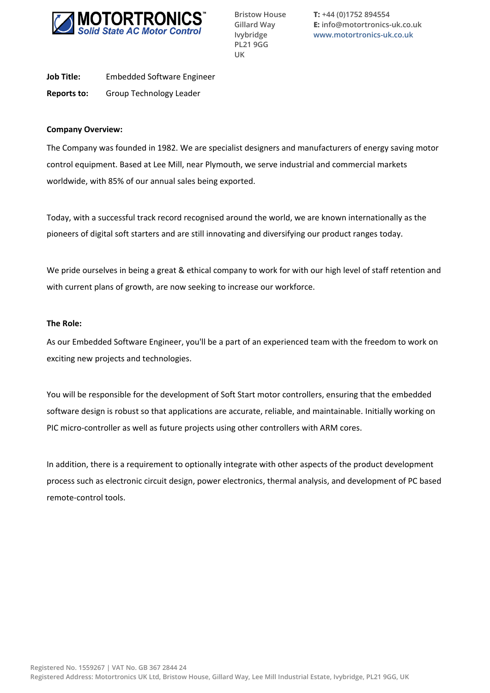

**Bristow House Gillard Way Ivybridge PL21 9GG UK**

**Job Title:** Embedded Software Engineer

**Reports to:** Group Technology Leader

## **Company Overview:**

The Company was founded in 1982. We are specialist designers and manufacturers of energy saving motor control equipment. Based at Lee Mill, near Plymouth, we serve industrial and commercial markets worldwide, with 85% of our annual sales being exported.

Today, with a successful track record recognised around the world, we are known internationally as the pioneers of digital soft starters and are still innovating and diversifying our product ranges today.

We pride ourselves in being a great & ethical company to work for with our high level of staff retention and with current plans of growth, are now seeking to increase our workforce.

## **The Role:**

As our Embedded Software Engineer, you'll be a part of an experienced team with the freedom to work on exciting new projects and technologies.

You will be responsible for the development of Soft Start motor controllers, ensuring that the embedded software design is robust so that applications are accurate, reliable, and maintainable. Initially working on PIC micro-controller as well as future projects using other controllers with ARM cores.

In addition, there is a requirement to optionally integrate with other aspects of the product development process such as electronic circuit design, power electronics, thermal analysis, and development of PC based remote-control tools.